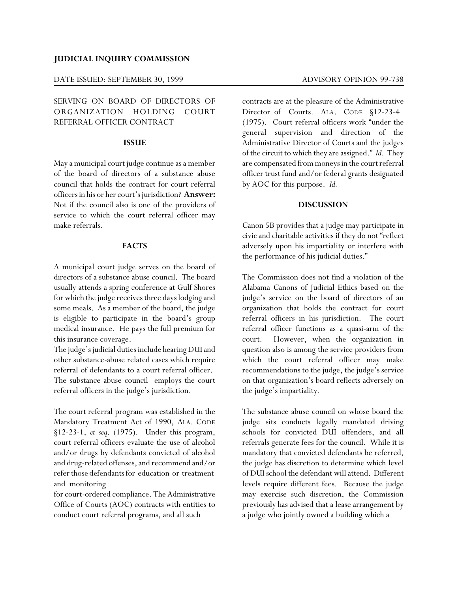## **JUDICIAL INQUIRY COMMISSION**

#### DATE ISSUED: SEPTEMBER 30, 1999 ADVISORY OPINION 99-738

# SERVING ON BOARD OF DIRECTORS OF ORGANIZATION HOLDING COURT REFERRAL OFFICER CONTRACT

## **ISSUE**

May a municipal court judge continue as a member of the board of directors of a substance abuse council that holds the contract for court referral officers in his or her court's jurisdiction? **Answer:** Not if the council also is one of the providers of service to which the court referral officer may make referrals.

# **FACTS**

A municipal court judge serves on the board of directors of a substance abuse council. The board usually attends a spring conference at Gulf Shores for which the judge receives three days lodging and some meals. As a member of the board, the judge is eligible to participate in the board's group medical insurance. He pays the full premium for this insurance coverage.

The judge's judicial duties include hearing DUI and other substance-abuse related cases which require referral of defendants to a court referral officer. The substance abuse council employs the court referral officers in the judge's jurisdiction.

The court referral program was established in the Mandatory Treatment Act of 1990, ALA. CODE §12-23-1, *et seq*. (1975). Under this program, court referral officers evaluate the use of alcohol and/or drugs by defendants convicted of alcohol and drug-related offenses, and recommend and/or refer those defendants for education or treatment and monitoring

for court-ordered compliance. The Administrative Office of Courts (AOC) contracts with entities to conduct court referral programs, and all such

contracts are at the pleasure of the Administrative Director of Courts. ALA. CODE §12-23-4 (1975). Court referral officers work "under the general supervision and direction of the Administrative Director of Courts and the judges of the circuit to which they are assigned." *Id*. They are compensated from moneys in the court referral officer trust fund and/or federal grants designated by AOC for this purpose. *Id.*

## **DISCUSSION**

Canon 5B provides that a judge may participate in civic and charitable activities if they do not "reflect adversely upon his impartiality or interfere with the performance of his judicial duties."

The Commission does not find a violation of the Alabama Canons of Judicial Ethics based on the judge's service on the board of directors of an organization that holds the contract for court referral officers in his jurisdiction. The court referral officer functions as a quasi-arm of the court. However, when the organization in question also is among the service providers from which the court referral officer may make recommendations to the judge, the judge's service on that organization's board reflects adversely on the judge's impartiality.

The substance abuse council on whose board the judge sits conducts legally mandated driving schools for convicted DUI offenders, and all referrals generate fees for the council. While it is mandatory that convicted defendants be referred, the judge has discretion to determine which level of DUI school the defendant will attend. Different levels require different fees. Because the judge may exercise such discretion, the Commission previously has advised that a lease arrangement by a judge who jointly owned a building which a